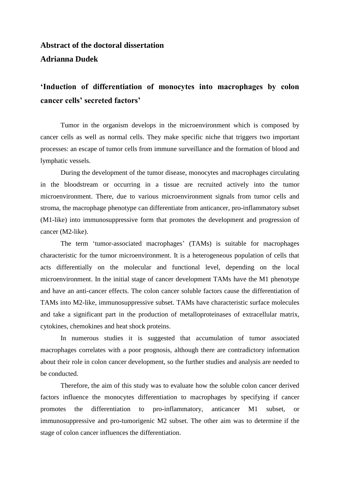## **Abstract of the doctoral dissertation Adrianna Dudek**

## **'Induction of differentiation of monocytes into macrophages by colon cancer cells' secreted factors'**

Tumor in the organism develops in the microenvironment which is composed by cancer cells as well as normal cells. They make specific niche that triggers two important processes: an escape of tumor cells from immune surveillance and the formation of blood and lymphatic vessels.

During the development of the tumor disease, monocytes and macrophages circulating in the bloodstream or occurring in a tissue are recruited actively into the tumor microenvironment. There, due to various microenvironment signals from tumor cells and stroma, the macrophage phenotype can differentiate from anticancer, pro-inflammatory subset (M1-like) into immunosuppressive form that promotes the development and progression of cancer (M2-like).

The term 'tumor-associated macrophages' (TAMs) is suitable for macrophages characteristic for the tumor microenvironment. It is a heterogeneous population of cells that acts differentially on the molecular and functional level, depending on the local microenvironment. In the initial stage of cancer development TAMs have the M1 phenotype and have an anti-cancer effects. The colon cancer soluble factors cause the differentiation of TAMs into M2-like, immunosuppressive subset. TAMs have characteristic surface molecules and take a significant part in the production of metalloproteinases of extracellular matrix, cytokines, chemokines and heat shock proteins.

In numerous studies it is suggested that accumulation of tumor associated macrophages correlates with a poor prognosis, although there are contradictory information about their role in colon cancer development, so the further studies and analysis are needed to be conducted.

Therefore, the aim of this study was to evaluate how the soluble colon cancer derived factors influence the monocytes differentiation to macrophages by specifying if cancer promotes the differentiation to pro-inflammatory, anticancer M1 subset, or immunosuppressive and pro-tumorigenic M2 subset. The other aim was to determine if the stage of colon cancer influences the differentiation.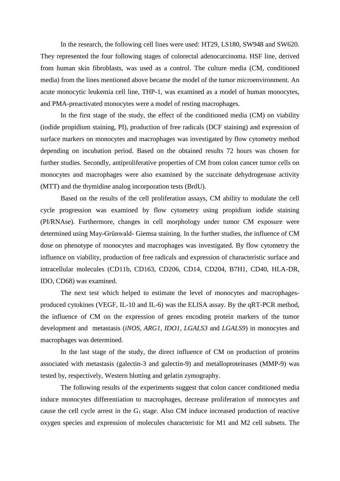In the research, the following cell lines were used: HT29, LS180, SW948 and SW620. They represented the four following stages of colorectal adenocarcinoma. HSF line, derived from human skin fibroblasts, was used as a control. The culture media (CM, conditioned media) from the lines mentioned above became the model of the tumor microenvironment. An acute monocytic leukemia cell line, THP-1, was examined as a model of human monocytes, and PMA-preactivated monocytes were a model of resting macrophages.

In the first stage of the study, the effect of the conditioned media (CM) on viability (iodide propidium staining, PI), production of free radicals (DCF staining) and expression of surface markers on monocytes and macrophages was investigated by flow cytometry method depending on incubation period. Based on the obtained results 72 hours was chosen for further studies. Secondly, antiproliferative properties of CM from colon cancer tumor cells on monocytes and macrophages were also examined by the succinate dehydrogenase activity (MTT) and the thymidine analog incorporation tests (BrdU).

Based on the results of the cell proliferation assays, CM ability to modulate the cell cycle progression was examined by flow cytometry using propidium iodide staining (PI/RNAse). Furthermore, changes in cell morphology under tumor CM exposure were determined using May-Grünwald- Giemsa staining. In the further studies, the influence of CM dose on phenotype of monocytes and macrophages was investigated. By flow cytometry the influence on viability, production of free radicals and expression of characteristic surface and intracellular molecules (CD11b, CD163, CD206, CD14, CD204, B7H1, CD40, HLA-DR, IDO, CD68) was examined.

The next test which helped to estimate the level of monocytes and macrophagesproduced cytokines (VEGF, IL-10 and IL-6) was the ELISA assay. By the qRT-PCR method, the influence of CM on the expression of genes encoding protein markers of the tumor development and metastasis (*iNOS, ARG1, IDO1, LGALS3* and *LGALS9*) in monocytes and macrophages was determined.

In the last stage of the study, the direct influence of CM on production of proteins associated with metastasis (galectin-3 and galectin-9) and metalloproteinases (MMP-9) was tested by, respectively, Western blotting and gelatin zymography.

The following results of the experiments suggest that colon cancer conditioned media induce monocytes differentiation to macrophages, decrease proliferation of monocytes and cause the cell cycle arrest in the  $G_1$  stage. Also CM induce increased production of reactive oxygen species and expression of molecules characteristic for M1 and M2 cell subsets. The